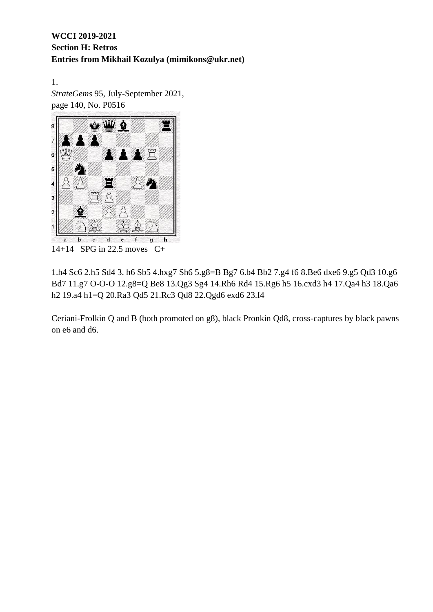1. *StrateGems* 95, July-September 2021, page 140, No. P0516



14+14 SPG in 22.5 moves C+

1.h4 Sc6 2.h5 Sd4 3. h6 Sb5 4.hxg7 Sh6 5.g8=B Bg7 6.b4 Bb2 7.g4 f6 8.Be6 dxe6 9.g5 Qd3 10.g6 Bd7 11.g7 O-O-O 12.g8=Q Be8 13.Qg3 Sg4 14.Rh6 Rd4 15.Rg6 h5 16.cxd3 h4 17.Qa4 h3 18.Qa6 h2 19.a4 h1=Q 20.Ra3 Qd5 21.Rc3 Qd8 22.Qgd6 exd6 23.f4

Ceriani-Frolkin Q and B (both promoted on g8), black Pronkin Qd8, cross-captures by black pawns on e6 and d6.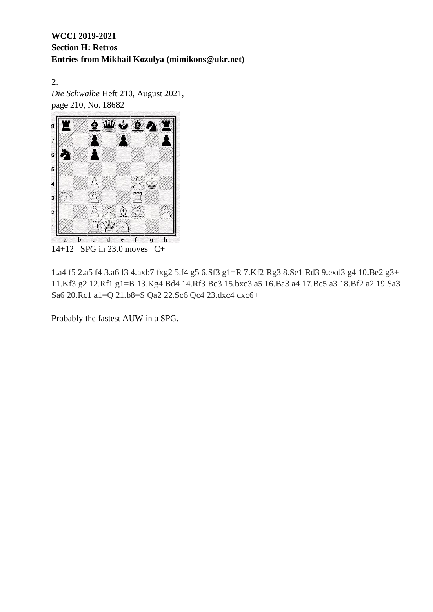2. *Die Schwalbe* Heft 210, August 2021, page 210, No. 18682



14+12 SPG in 23.0 moves C+

1.a4 f5 2.a5 f4 3.a6 f3 4.axb7 fxg2 5.f4 g5 6.Sf3 g1=R 7.Kf2 Rg3 8.Se1 Rd3 9.exd3 g4 10.Be2 g3+ 11.Kf3 g2 12.Rf1 g1=B 13.Kg4 Bd4 14.Rf3 Bc3 15.bxc3 a5 16.Ba3 a4 17.Bc5 a3 18.Bf2 a2 19.Sa3 Sa6 20.Rc1 a1=Q 21.b8=S Qa2 22.Sc6 Qc4 23.dxc4 dxc6+

Probably the fastest AUW in a SPG.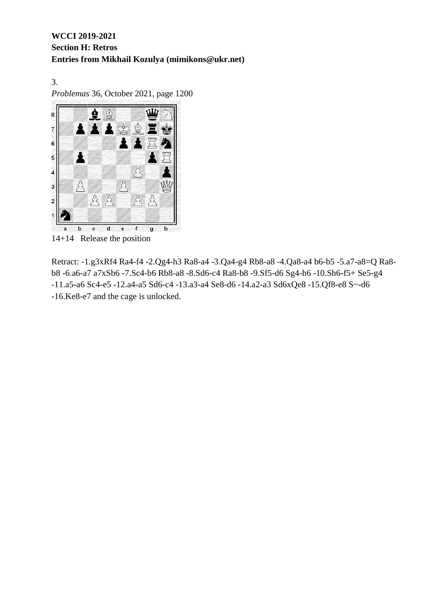3. *Problemas* 36, October 2021, page 1200



14+14 Release the position

Retract: -1.g3xRf4 Ra4-f4 -2.Qg4-h3 Ra8-a4 -3.Qa4-g4 Rb8-a8 -4.Qa8-a4 b6-b5 -5.a7-a8=Q Ra8 b8 -6.a6-a7 a7xSb6 -7.Sc4-b6 Rb8-a8 -8.Sd6-c4 Ra8-b8 -9.Sf5-d6 Sg4-h6 -10.Sh6-f5+ Se5-g4 -11.a5-a6 Sc4-e5 -12.a4-a5 Sd6-c4 -13.a3-a4 Se8-d6 -14.a2-a3 Sd6xQe8 -15.Qf8-e8 S~-d6 -16.Ke8-e7 and the cage is unlocked.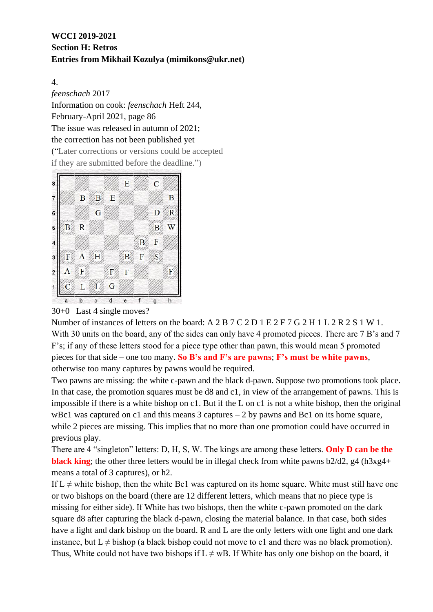4.

*feenschach* 2017 Information on cook: *feenschach* Heft 244, February-April 2021, page 86 The issue was released in autumn of 2021; the correction has not been published yet ("Later corrections or versions could be accepted if they are submitted before the deadline.")



30+0 Last 4 single moves?

Number of instances of letters on the board: A 2 B 7 C 2 D 1 E 2 F 7 G 2 H 1 L 2 R 2 S 1 W 1. With 30 units on the board, any of the sides can only have 4 promoted pieces. There are 7 B's and 7 F's; if any of these letters stood for a piece type other than pawn, this would mean 5 promoted pieces for that side – one too many. **So B's and F's are pawns**; **F's must be white pawns**, otherwise too many captures by pawns would be required.

Two pawns are missing: the white c-pawn and the black d-pawn. Suppose two promotions took place. In that case, the promotion squares must be d8 and c1, in view of the arrangement of pawns. This is impossible if there is a white bishop on c1. But if the L on c1 is not a white bishop, then the original wBc1 was captured on c1 and this means  $3$  captures  $-2$  by pawns and Bc1 on its home square, while 2 pieces are missing. This implies that no more than one promotion could have occurred in previous play.

There are 4 "singleton" letters: D, H, S, W. The kings are among these letters. **Only D can be the black king**; the other three letters would be in illegal check from white pawns  $b2/d2$ , g4 (h3xg4+ means a total of 3 captures), or h2.

If  $L \neq$  white bishop, then the white Bc1 was captured on its home square. White must still have one or two bishops on the board (there are 12 different letters, which means that no piece type is missing for either side). If White has two bishops, then the white c-pawn promoted on the dark square d8 after capturing the black d-pawn, closing the material balance. In that case, both sides have a light and dark bishop on the board. R and L are the only letters with one light and one dark instance, but  $L \neq b$  ishop (a black bishop could not move to c1 and there was no black promotion). Thus, White could not have two bishops if  $L \neq wB$ . If White has only one bishop on the board, it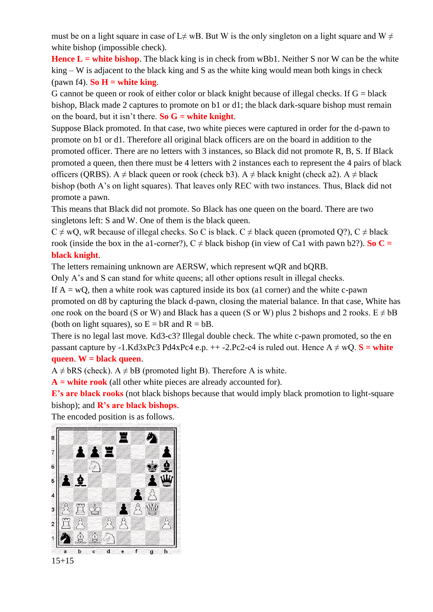must be on a light square in case of L≠ wB. But W is the only singleton on a light square and W  $\neq$ white bishop (impossible check).

**Hence L = white bishop**. The black king is in check from wBb1. Neither S nor W can be the white king – W is adjacent to the black king and S as the white king would mean both kings in check (pawn f4). **So**  $H =$  **white king.** 

G cannot be queen or rook of either color or black knight because of illegal checks. If  $G = black$ bishop, Black made 2 captures to promote on b1 or d1; the black dark-square bishop must remain on the board, but it isn't there. **So G = white knight**.

Suppose Black promoted. In that case, two white pieces were captured in order for the d-pawn to promote on b1 or d1. Therefore all original black officers are on the board in addition to the promoted officer. There are no letters with 3 instances, so Black did not promote R, B, S. If Black promoted a queen, then there must be 4 letters with 2 instances each to represent the 4 pairs of black officers (QRBS). A  $\neq$  black queen or rook (check b3). A  $\neq$  black knight (check a2). A  $\neq$  black bishop (both A's on light squares). That leaves only REC with two instances. Thus, Black did not promote a pawn.

This means that Black did not promote. So Black has one queen on the board. There are two singletons left: S and W. One of them is the black queen.

 $C \neq wO$ , wR because of illegal checks. So C is black.  $C \neq$  black queen (promoted O?),  $C \neq$  black rook (inside the box in the a1-corner?),  $C \neq$  black bishop (in view of Ca1 with pawn b2?). **So C** = **black knight**.

The letters remaining unknown are AERSW, which represent wQR and bQRB.

Only A's and S can stand for white queens; all other options result in illegal checks.

If  $A = wQ$ , then a white rook was captured inside its box (a1 corner) and the white c-pawn promoted on d8 by capturing the black d-pawn, closing the material balance. In that case, White has one rook on the board (S or W) and Black has a queen (S or W) plus 2 bishops and 2 rooks.  $E \neq bB$ (both on light squares), so  $E = bR$  and  $R = bB$ .

There is no legal last move. Kd3-c3? Illegal double check. The white c-pawn promoted, so the en passant capture by  $-1.$ Kd3xPc3 Pd4xPc4 e.p.  $++-2.$ Pc2 $-c4$  is ruled out. Hence A  $\neq$  wQ. **S** = white **queen**. **W = black queen**.

 $A \neq bRS$  (check).  $A \neq bB$  (promoted light B). Therefore A is white.

**A = white rook** (all other white pieces are already accounted for).

**E**'s are black rooks (not black bishops because that would imply black promotion to light-square bishop); and **R's are black bishops**.

The encoded position is as follows.